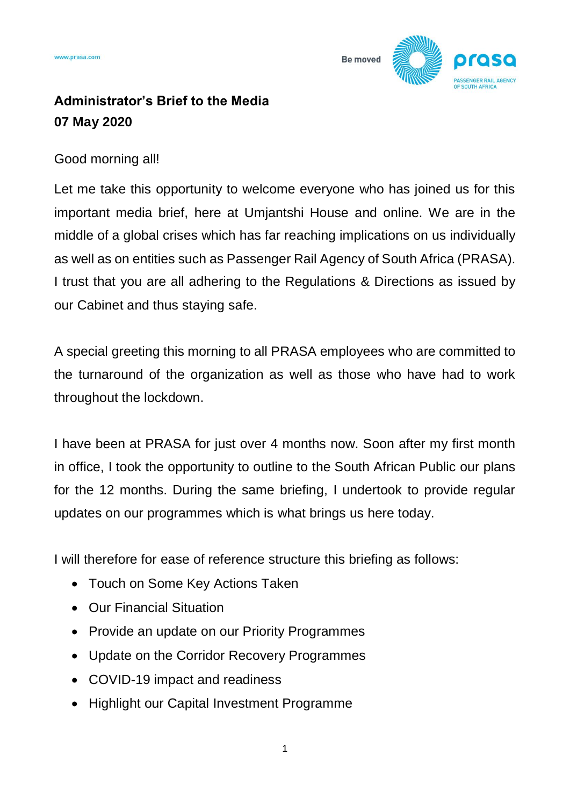

# **Administrator's Brief to the Media 07 May 2020**

## Good morning all!

Let me take this opportunity to welcome everyone who has joined us for this important media brief, here at Umjantshi House and online. We are in the middle of a global crises which has far reaching implications on us individually as well as on entities such as Passenger Rail Agency of South Africa (PRASA). I trust that you are all adhering to the Regulations & Directions as issued by our Cabinet and thus staying safe.

A special greeting this morning to all PRASA employees who are committed to the turnaround of the organization as well as those who have had to work throughout the lockdown.

I have been at PRASA for just over 4 months now. Soon after my first month in office, I took the opportunity to outline to the South African Public our plans for the 12 months. During the same briefing, I undertook to provide regular updates on our programmes which is what brings us here today.

I will therefore for ease of reference structure this briefing as follows:

- Touch on Some Key Actions Taken
- Our Financial Situation
- Provide an update on our Priority Programmes
- Update on the Corridor Recovery Programmes
- COVID-19 impact and readiness
- Highlight our Capital Investment Programme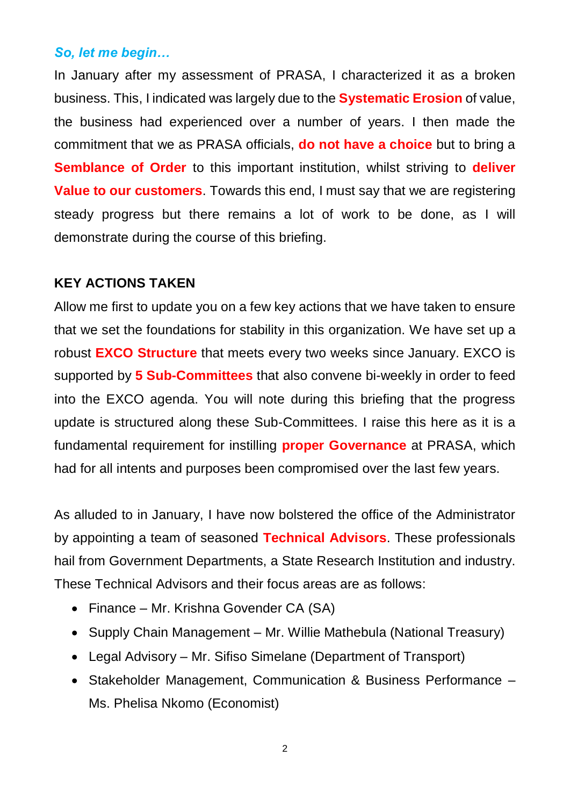### *So, let me begin…*

In January after my assessment of PRASA, I characterized it as a broken business. This, I indicated was largely due to the **Systematic Erosion** of value, the business had experienced over a number of years. I then made the commitment that we as PRASA officials, **do not have a choice** but to bring a **Semblance of Order** to this important institution, whilst striving to **deliver Value to our customers**. Towards this end, I must say that we are registering steady progress but there remains a lot of work to be done, as I will demonstrate during the course of this briefing.

#### **KEY ACTIONS TAKEN**

Allow me first to update you on a few key actions that we have taken to ensure that we set the foundations for stability in this organization. We have set up a robust **EXCO Structure** that meets every two weeks since January. EXCO is supported by **5 Sub-Committees** that also convene bi-weekly in order to feed into the EXCO agenda. You will note during this briefing that the progress update is structured along these Sub-Committees. I raise this here as it is a fundamental requirement for instilling **proper Governance** at PRASA, which had for all intents and purposes been compromised over the last few years.

As alluded to in January, I have now bolstered the office of the Administrator by appointing a team of seasoned **Technical Advisors**. These professionals hail from Government Departments, a State Research Institution and industry. These Technical Advisors and their focus areas are as follows:

- Finance Mr. Krishna Govender CA (SA)
- Supply Chain Management Mr. Willie Mathebula (National Treasury)
- Legal Advisory Mr. Sifiso Simelane (Department of Transport)
- Stakeholder Management, Communication & Business Performance Ms. Phelisa Nkomo (Economist)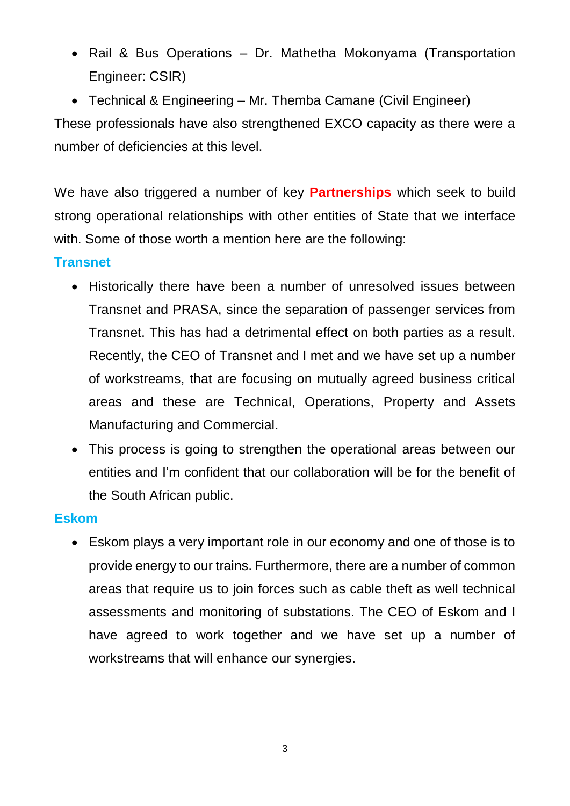- Rail & Bus Operations Dr. Mathetha Mokonyama (Transportation Engineer: CSIR)
- Technical & Engineering Mr. Themba Camane (Civil Engineer)

These professionals have also strengthened EXCO capacity as there were a number of deficiencies at this level.

We have also triggered a number of key **Partnerships** which seek to build strong operational relationships with other entities of State that we interface with. Some of those worth a mention here are the following:

## **Transnet**

- Historically there have been a number of unresolved issues between Transnet and PRASA, since the separation of passenger services from Transnet. This has had a detrimental effect on both parties as a result. Recently, the CEO of Transnet and I met and we have set up a number of workstreams, that are focusing on mutually agreed business critical areas and these are Technical, Operations, Property and Assets Manufacturing and Commercial.
- This process is going to strengthen the operational areas between our entities and I'm confident that our collaboration will be for the benefit of the South African public.

### **Eskom**

 Eskom plays a very important role in our economy and one of those is to provide energy to our trains. Furthermore, there are a number of common areas that require us to join forces such as cable theft as well technical assessments and monitoring of substations. The CEO of Eskom and I have agreed to work together and we have set up a number of workstreams that will enhance our synergies.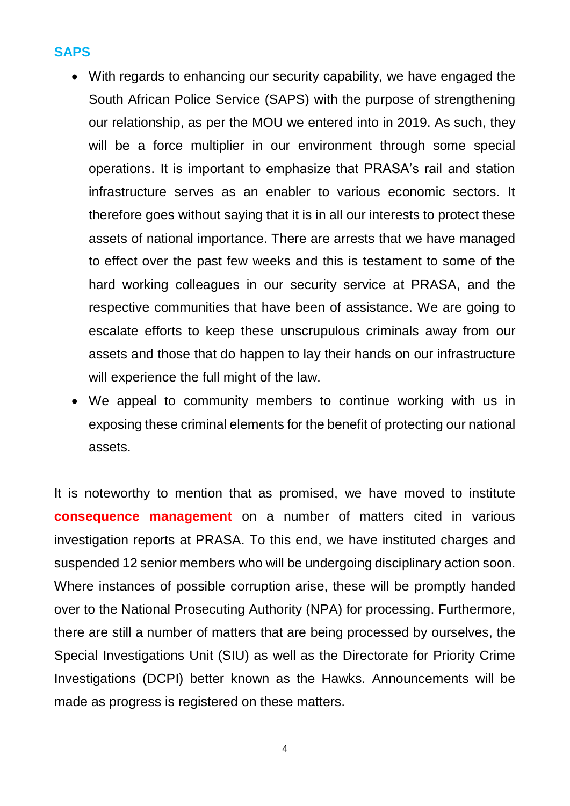### **SAPS**

- With regards to enhancing our security capability, we have engaged the South African Police Service (SAPS) with the purpose of strengthening our relationship, as per the MOU we entered into in 2019. As such, they will be a force multiplier in our environment through some special operations. It is important to emphasize that PRASA's rail and station infrastructure serves as an enabler to various economic sectors. It therefore goes without saying that it is in all our interests to protect these assets of national importance. There are arrests that we have managed to effect over the past few weeks and this is testament to some of the hard working colleagues in our security service at PRASA, and the respective communities that have been of assistance. We are going to escalate efforts to keep these unscrupulous criminals away from our assets and those that do happen to lay their hands on our infrastructure will experience the full might of the law.
- We appeal to community members to continue working with us in exposing these criminal elements for the benefit of protecting our national assets.

It is noteworthy to mention that as promised, we have moved to institute **consequence management** on a number of matters cited in various investigation reports at PRASA. To this end, we have instituted charges and suspended 12 senior members who will be undergoing disciplinary action soon. Where instances of possible corruption arise, these will be promptly handed over to the National Prosecuting Authority (NPA) for processing. Furthermore, there are still a number of matters that are being processed by ourselves, the Special Investigations Unit (SIU) as well as the Directorate for Priority Crime Investigations (DCPI) better known as the Hawks. Announcements will be made as progress is registered on these matters.

4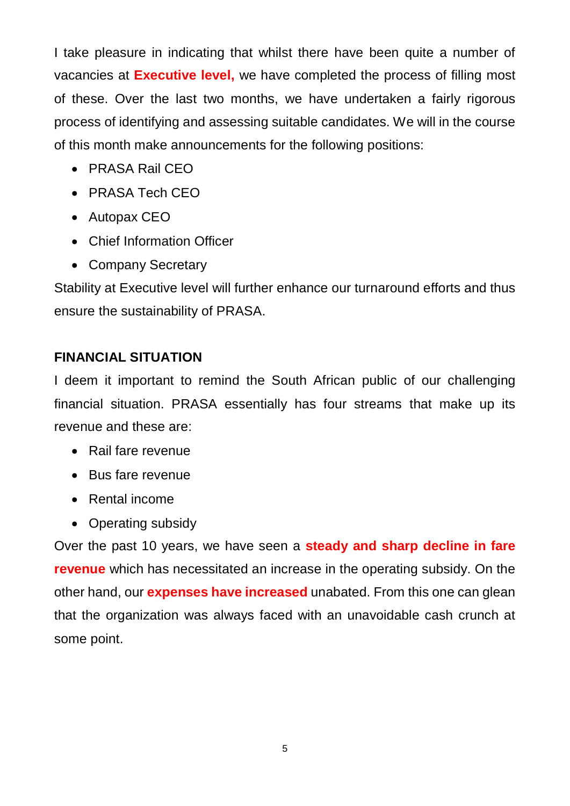I take pleasure in indicating that whilst there have been quite a number of vacancies at **Executive level,** we have completed the process of filling most of these. Over the last two months, we have undertaken a fairly rigorous process of identifying and assessing suitable candidates. We will in the course of this month make announcements for the following positions:

- PRASA Rail CEO
- PRASA Tech CEO
- Autopax CEO
- Chief Information Officer
- Company Secretary

Stability at Executive level will further enhance our turnaround efforts and thus ensure the sustainability of PRASA.

# **FINANCIAL SITUATION**

I deem it important to remind the South African public of our challenging financial situation. PRASA essentially has four streams that make up its revenue and these are:

- Rail fare revenue
- Bus fare revenue
- Rental income
- Operating subsidy

Over the past 10 years, we have seen a **steady and sharp decline in fare revenue** which has necessitated an increase in the operating subsidy. On the other hand, our **expenses have increased** unabated. From this one can glean that the organization was always faced with an unavoidable cash crunch at some point.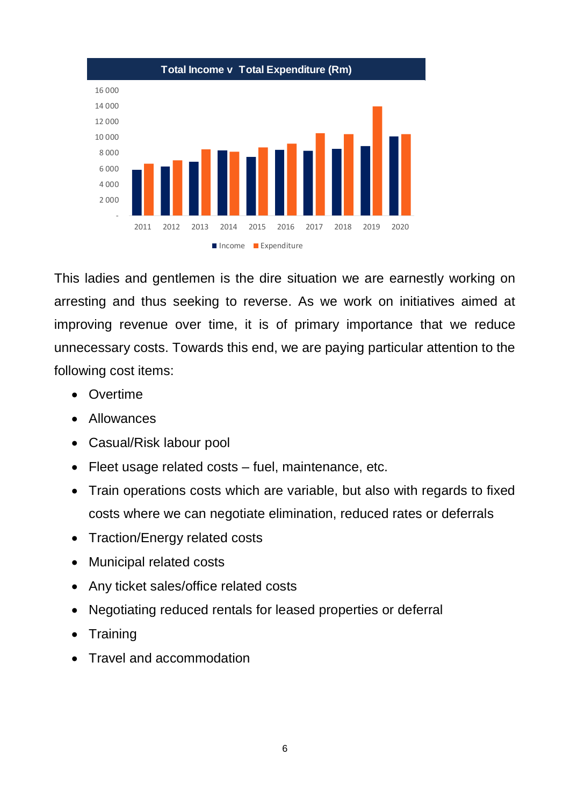

This ladies and gentlemen is the dire situation we are earnestly working on arresting and thus seeking to reverse. As we work on initiatives aimed at improving revenue over time, it is of primary importance that we reduce unnecessary costs. Towards this end, we are paying particular attention to the following cost items:

- Overtime
- Allowances
- Casual/Risk labour pool
- Fleet usage related costs fuel, maintenance, etc.
- Train operations costs which are variable, but also with regards to fixed costs where we can negotiate elimination, reduced rates or deferrals
- Traction/Energy related costs
- Municipal related costs
- Any ticket sales/office related costs
- Negotiating reduced rentals for leased properties or deferral
- Training
- Travel and accommodation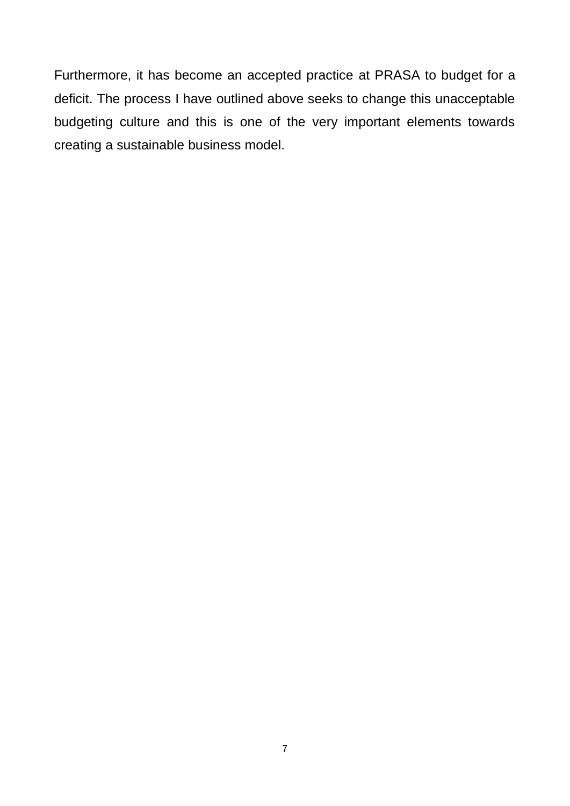Furthermore, it has become an accepted practice at PRASA to budget for a deficit. The process I have outlined above seeks to change this unacceptable budgeting culture and this is one of the very important elements towards creating a sustainable business model.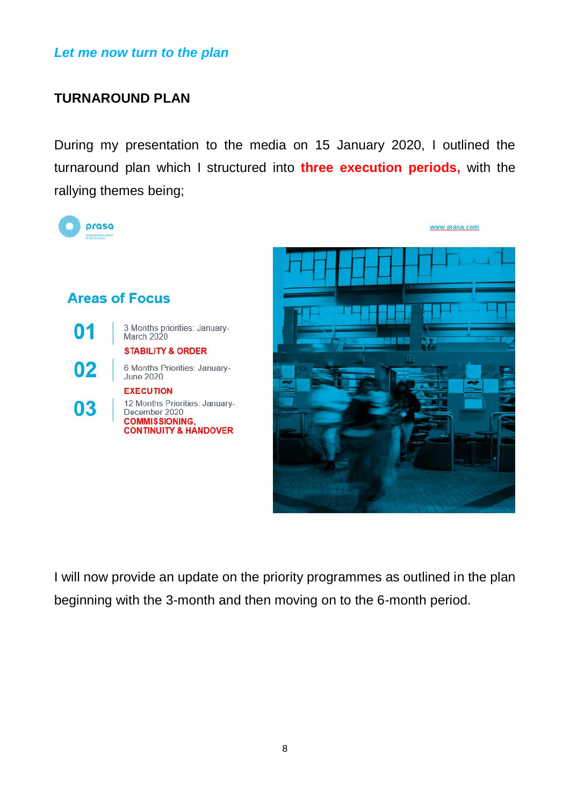*Let me now turn to the plan*

## **TURNAROUND PLAN**

During my presentation to the media on 15 January 2020, I outlined the turnaround plan which I structured into **three execution periods,** with the rallying themes being;



I will now provide an update on the priority programmes as outlined in the plan beginning with the 3-month and then moving on to the 6-month period.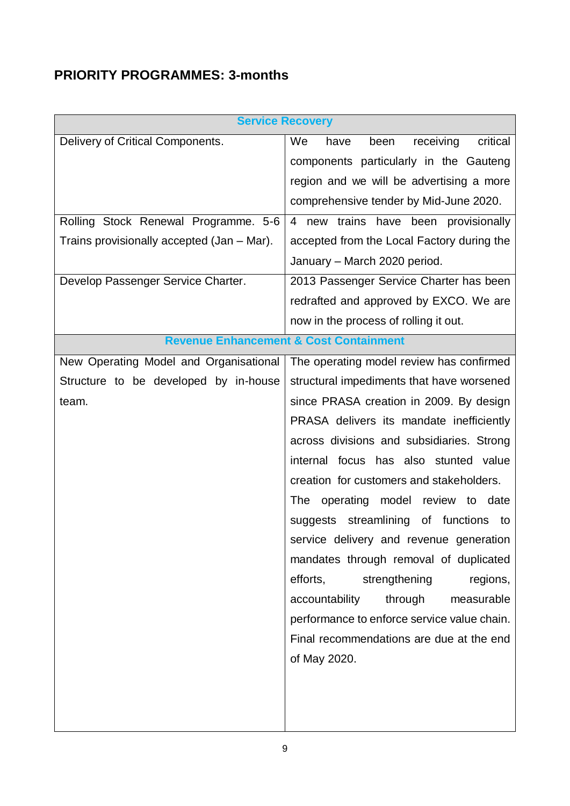# **PRIORITY PROGRAMMES: 3-months**

|                                            | <b>Service Recovery</b>                            |  |  |
|--------------------------------------------|----------------------------------------------------|--|--|
| Delivery of Critical Components.           | We<br>receiving<br>critical<br>been<br>have        |  |  |
|                                            | components particularly in the Gauteng             |  |  |
|                                            | region and we will be advertising a more           |  |  |
|                                            | comprehensive tender by Mid-June 2020.             |  |  |
| Rolling Stock Renewal Programme. 5-6       | 4 new trains have been provisionally               |  |  |
| Trains provisionally accepted (Jan - Mar). | accepted from the Local Factory during the         |  |  |
|                                            | January - March 2020 period.                       |  |  |
| Develop Passenger Service Charter.         | 2013 Passenger Service Charter has been            |  |  |
|                                            | redrafted and approved by EXCO. We are             |  |  |
|                                            | now in the process of rolling it out.              |  |  |
|                                            | <b>Revenue Enhancement &amp; Cost Containment</b>  |  |  |
| New Operating Model and Organisational     | The operating model review has confirmed           |  |  |
| Structure to be developed by in-house      | structural impediments that have worsened          |  |  |
| team.                                      | since PRASA creation in 2009. By design            |  |  |
|                                            | PRASA delivers its mandate inefficiently           |  |  |
|                                            | across divisions and subsidiaries. Strong          |  |  |
|                                            | internal focus has also stunted value              |  |  |
|                                            | creation for customers and stakeholders.           |  |  |
|                                            | operating model<br>review to<br><b>The</b><br>date |  |  |
|                                            | suggests streamlining<br>of functions<br>to        |  |  |
|                                            | service delivery and revenue generation            |  |  |
|                                            | mandates through removal of duplicated             |  |  |
|                                            | efforts,<br>strengthening<br>regions,              |  |  |
|                                            | accountability<br>through<br>measurable            |  |  |
|                                            | performance to enforce service value chain.        |  |  |
|                                            | Final recommendations are due at the end           |  |  |
|                                            | of May 2020.                                       |  |  |
|                                            |                                                    |  |  |
|                                            |                                                    |  |  |
|                                            |                                                    |  |  |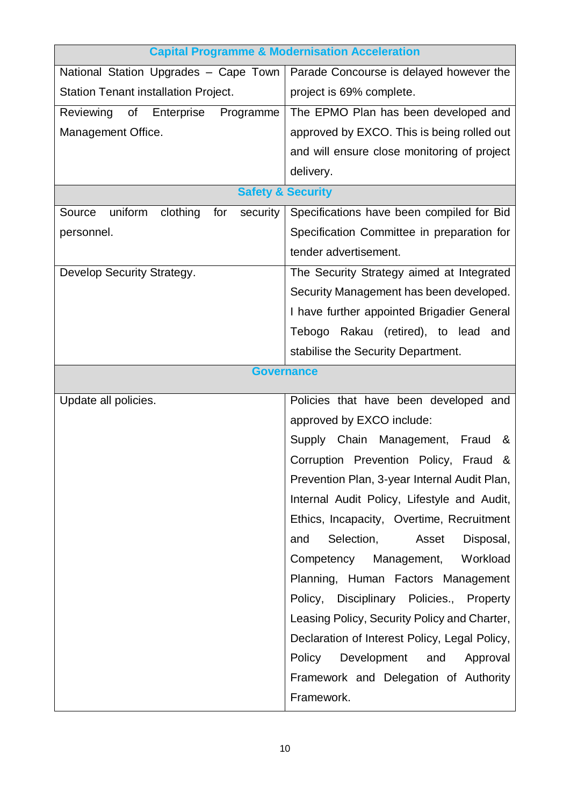| <b>Capital Programme &amp; Modernisation Acceleration</b> |                                               |  |
|-----------------------------------------------------------|-----------------------------------------------|--|
| National Station Upgrades - Cape Town                     | Parade Concourse is delayed however the       |  |
| Station Tenant installation Project.                      | project is 69% complete.                      |  |
| Reviewing of Enterprise<br>Programme                      | The EPMO Plan has been developed and          |  |
| Management Office.                                        | approved by EXCO. This is being rolled out    |  |
|                                                           | and will ensure close monitoring of project   |  |
|                                                           | delivery.                                     |  |
| <b>Safety &amp; Security</b>                              |                                               |  |
| uniform clothing for<br>security  <br>Source              | Specifications have been compiled for Bid     |  |
| personnel.                                                | Specification Committee in preparation for    |  |
|                                                           | tender advertisement.                         |  |
| Develop Security Strategy.                                | The Security Strategy aimed at Integrated     |  |
|                                                           | Security Management has been developed.       |  |
|                                                           | I have further appointed Brigadier General    |  |
|                                                           | Tebogo Rakau (retired), to lead<br>and        |  |
|                                                           | stabilise the Security Department.            |  |
| <b>Governance</b>                                         |                                               |  |
| Update all policies.                                      | Policies that have been developed and         |  |
|                                                           | approved by EXCO include:                     |  |
|                                                           | Supply Chain Management,<br>Fraud<br>&        |  |
|                                                           | Corruption Prevention Policy, Fraud<br>&      |  |
|                                                           | Prevention Plan, 3-year Internal Audit Plan,  |  |
|                                                           | Internal Audit Policy, Lifestyle and Audit,   |  |
|                                                           | Ethics, Incapacity, Overtime, Recruitment     |  |
|                                                           | Selection,<br>Disposal,<br>and<br>Asset       |  |
|                                                           | Management,<br>Workload<br>Competency         |  |
|                                                           | Planning, Human Factors Management            |  |
|                                                           | Policy,<br>Disciplinary Policies., Property   |  |
|                                                           | Leasing Policy, Security Policy and Charter,  |  |
|                                                           | Declaration of Interest Policy, Legal Policy, |  |
|                                                           | Policy<br>Development<br>and<br>Approval      |  |
|                                                           | Framework and Delegation of Authority         |  |
|                                                           | Framework.                                    |  |
|                                                           |                                               |  |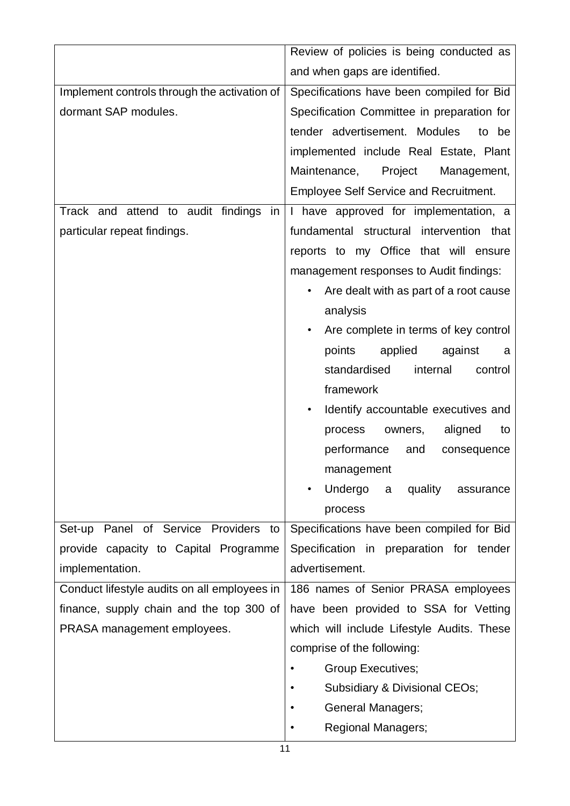|                                              | Review of policies is being conducted as      |  |  |
|----------------------------------------------|-----------------------------------------------|--|--|
|                                              | and when gaps are identified.                 |  |  |
| Implement controls through the activation of | Specifications have been compiled for Bid     |  |  |
| dormant SAP modules.                         | Specification Committee in preparation for    |  |  |
|                                              | tender advertisement. Modules<br>to be        |  |  |
|                                              | implemented include Real Estate, Plant        |  |  |
|                                              | Project<br>Maintenance,<br>Management,        |  |  |
|                                              | <b>Employee Self Service and Recruitment.</b> |  |  |
| Track and attend to audit findings in        | I have approved for implementation, a         |  |  |
| particular repeat findings.                  | fundamental structural intervention that      |  |  |
|                                              | reports to my Office that will ensure         |  |  |
|                                              | management responses to Audit findings:       |  |  |
|                                              | Are dealt with as part of a root cause        |  |  |
|                                              | analysis                                      |  |  |
|                                              | Are complete in terms of key control          |  |  |
|                                              | points<br>applied<br>against<br>a             |  |  |
|                                              | standardised<br>internal<br>control           |  |  |
|                                              | framework                                     |  |  |
|                                              | Identify accountable executives and           |  |  |
|                                              | aligned<br>process<br>owners,<br>to           |  |  |
|                                              | performance<br>and<br>consequence             |  |  |
|                                              | management                                    |  |  |
|                                              | Undergo<br>quality<br>a<br>assurance          |  |  |
|                                              | process                                       |  |  |
| Panel of Service Providers<br>Set-up<br>to   | Specifications have been compiled for Bid     |  |  |
| provide capacity to Capital Programme        | Specification in preparation for tender       |  |  |
| implementation.                              | advertisement.                                |  |  |
| Conduct lifestyle audits on all employees in | 186 names of Senior PRASA employees           |  |  |
| finance, supply chain and the top 300 of     | have been provided to SSA for Vetting         |  |  |
| PRASA management employees.                  | which will include Lifestyle Audits. These    |  |  |
|                                              | comprise of the following:                    |  |  |
|                                              | <b>Group Executives;</b>                      |  |  |
|                                              | Subsidiary & Divisional CEOs;                 |  |  |
|                                              | General Managers;                             |  |  |
|                                              | <b>Regional Managers;</b>                     |  |  |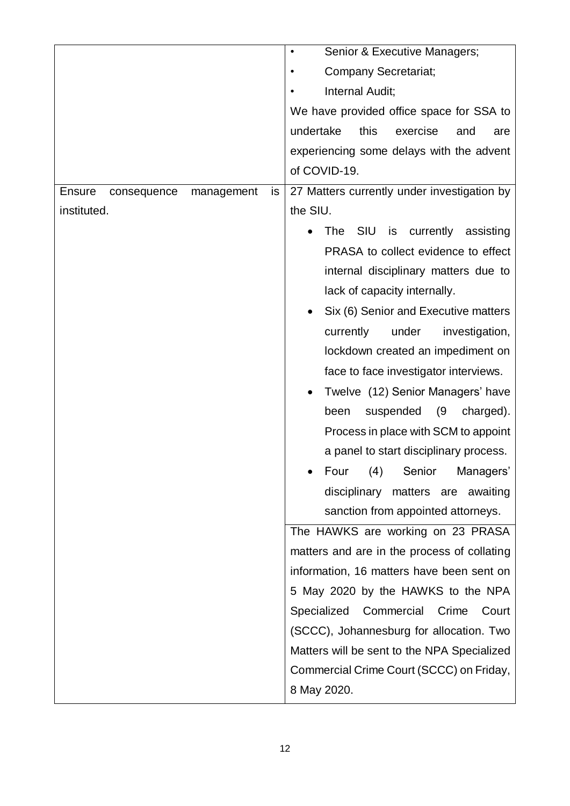|                                            | Senior & Executive Managers;<br>$\bullet$           |
|--------------------------------------------|-----------------------------------------------------|
|                                            | <b>Company Secretariat;</b>                         |
|                                            | Internal Audit;                                     |
|                                            | We have provided office space for SSA to            |
|                                            | undertake<br>this<br>exercise<br>and<br>are         |
|                                            | experiencing some delays with the advent            |
|                                            | of COVID-19.                                        |
| <b>Ensure</b><br>consequence<br>management | 27 Matters currently under investigation by<br>is   |
| instituted.                                | the SIU.                                            |
|                                            | <b>SIU</b><br>currently<br>is<br>assisting<br>The l |
|                                            | PRASA to collect evidence to effect                 |
|                                            | internal disciplinary matters due to                |
|                                            | lack of capacity internally.                        |
|                                            | Six (6) Senior and Executive matters                |
|                                            | currently<br>under<br>investigation,                |
|                                            | lockdown created an impediment on                   |
|                                            | face to face investigator interviews.               |
|                                            | Twelve (12) Senior Managers' have                   |
|                                            | (9)<br>been<br>suspended<br>charged).               |
|                                            | Process in place with SCM to appoint                |
|                                            | a panel to start disciplinary process.              |
|                                            | Four (4) Senior Managers'                           |
|                                            | disciplinary<br>matters are awaiting                |
|                                            | sanction from appointed attorneys.                  |
|                                            | The HAWKS are working on 23 PRASA                   |
|                                            | matters and are in the process of collating         |
|                                            | information, 16 matters have been sent on           |
|                                            | 5 May 2020 by the HAWKS to the NPA                  |
|                                            | Specialized<br>Commercial<br>Crime<br>Court         |
|                                            | (SCCC), Johannesburg for allocation. Two            |
|                                            | Matters will be sent to the NPA Specialized         |
|                                            | Commercial Crime Court (SCCC) on Friday,            |
|                                            | 8 May 2020.                                         |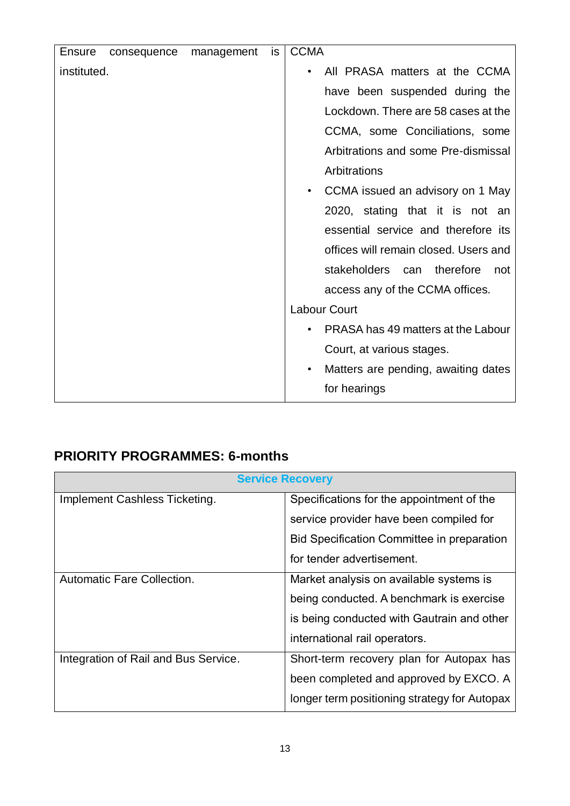| <b>Ensure</b> | consequence | management | is | <b>CCMA</b>                                      |
|---------------|-------------|------------|----|--------------------------------------------------|
| instituted.   |             |            |    | All PRASA matters at the CCMA<br>$\bullet$       |
|               |             |            |    | have been suspended during the                   |
|               |             |            |    | Lockdown. There are 58 cases at the              |
|               |             |            |    | CCMA, some Conciliations, some                   |
|               |             |            |    | Arbitrations and some Pre-dismissal              |
|               |             |            |    | Arbitrations                                     |
|               |             |            |    | CCMA issued an advisory on 1 May<br>$\bullet$    |
|               |             |            |    | 2020, stating that it is not an                  |
|               |             |            |    | essential service and therefore its              |
|               |             |            |    | offices will remain closed. Users and            |
|               |             |            |    | stakeholders can therefore<br>not                |
|               |             |            |    | access any of the CCMA offices.                  |
|               |             |            |    | <b>Labour Court</b>                              |
|               |             |            |    | PRASA has 49 matters at the Labour<br>$\bullet$  |
|               |             |            |    | Court, at various stages.                        |
|               |             |            |    | Matters are pending, awaiting dates<br>$\bullet$ |
|               |             |            |    | for hearings                                     |

# **PRIORITY PROGRAMMES: 6-months**

| <b>Service Recovery</b>              |                                              |  |
|--------------------------------------|----------------------------------------------|--|
| Implement Cashless Ticketing.        | Specifications for the appointment of the    |  |
|                                      | service provider have been compiled for      |  |
|                                      | Bid Specification Committee in preparation   |  |
|                                      | for tender advertisement.                    |  |
| <b>Automatic Fare Collection.</b>    | Market analysis on available systems is      |  |
|                                      | being conducted. A benchmark is exercise     |  |
|                                      | is being conducted with Gautrain and other   |  |
|                                      | international rail operators.                |  |
| Integration of Rail and Bus Service. | Short-term recovery plan for Autopax has     |  |
|                                      | been completed and approved by EXCO. A       |  |
|                                      | longer term positioning strategy for Autopax |  |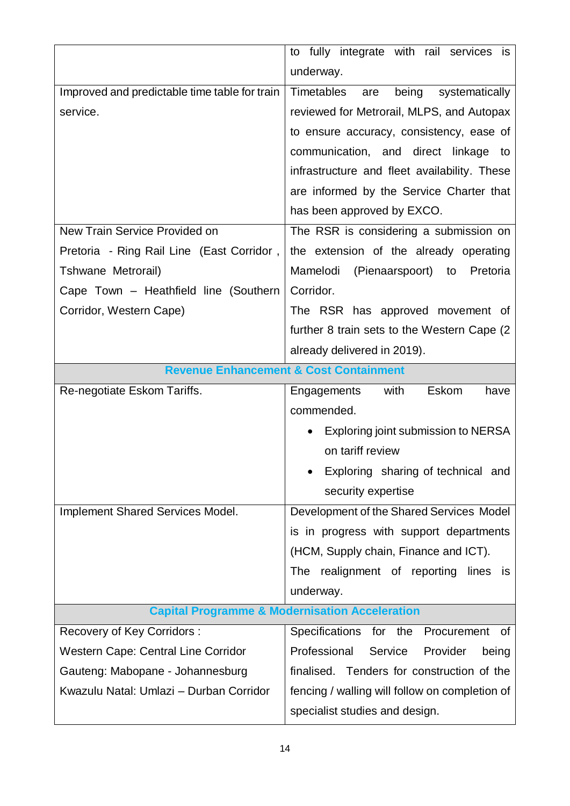|                                               | to fully integrate with rail services is                  |  |
|-----------------------------------------------|-----------------------------------------------------------|--|
|                                               | underway.                                                 |  |
| Improved and predictable time table for train | Timetables<br>systematically<br>being<br>are              |  |
| service.                                      | reviewed for Metrorail, MLPS, and Autopax                 |  |
|                                               | to ensure accuracy, consistency, ease of                  |  |
|                                               | communication, and direct linkage to                      |  |
|                                               | infrastructure and fleet availability. These              |  |
|                                               | are informed by the Service Charter that                  |  |
|                                               | has been approved by EXCO.                                |  |
| New Train Service Provided on                 | The RSR is considering a submission on                    |  |
| Pretoria - Ring Rail Line (East Corridor,     | the extension of the already operating                    |  |
| Tshwane Metrorail)                            | Mamelodi<br>(Pienaarspoort) to Pretoria                   |  |
| Cape Town - Heathfield line (Southern         | Corridor.                                                 |  |
| Corridor, Western Cape)                       | The RSR has approved movement of                          |  |
|                                               | further 8 train sets to the Western Cape (2)              |  |
|                                               | already delivered in 2019).                               |  |
|                                               | <b>Revenue Enhancement &amp; Cost Containment</b>         |  |
| Re-negotiate Eskom Tariffs.                   | Eskom<br>with<br>have<br>Engagements                      |  |
|                                               | commended.                                                |  |
|                                               | Exploring joint submission to NERSA                       |  |
|                                               | on tariff review                                          |  |
|                                               |                                                           |  |
|                                               | Exploring sharing of technical and                        |  |
|                                               | security expertise                                        |  |
| Implement Shared Services Model.              | Development of the Shared Services Model                  |  |
|                                               | is in progress with support departments                   |  |
|                                               | (HCM, Supply chain, Finance and ICT).                     |  |
|                                               | realignment of reporting lines is<br>The                  |  |
|                                               | underway.                                                 |  |
|                                               | <b>Capital Programme &amp; Modernisation Acceleration</b> |  |
| Recovery of Key Corridors:                    | Specifications for the Procurement<br>οf                  |  |
| <b>Western Cape: Central Line Corridor</b>    | Professional<br>Service<br>Provider<br>being              |  |
| Gauteng: Mabopane - Johannesburg              | finalised. Tenders for construction of the                |  |
| Kwazulu Natal: Umlazi - Durban Corridor       | fencing / walling will follow on completion of            |  |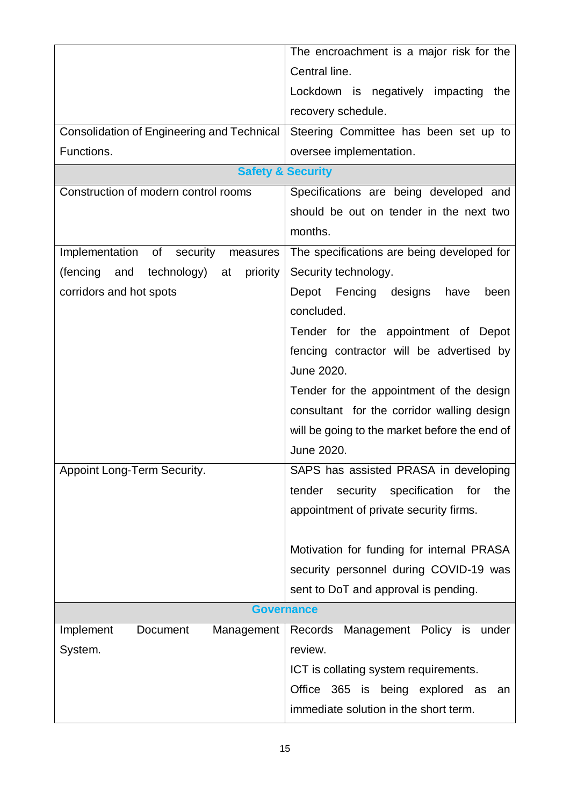|                                                   | The encroachment is a major risk for the       |  |  |
|---------------------------------------------------|------------------------------------------------|--|--|
|                                                   | Central line.                                  |  |  |
|                                                   | Lockdown is negatively impacting the           |  |  |
|                                                   | recovery schedule.                             |  |  |
| <b>Consolidation of Engineering and Technical</b> | Steering Committee has been set up to          |  |  |
| Functions.                                        | oversee implementation.                        |  |  |
|                                                   | <b>Safety &amp; Security</b>                   |  |  |
| Construction of modern control rooms              | Specifications are being developed and         |  |  |
|                                                   | should be out on tender in the next two        |  |  |
|                                                   | months.                                        |  |  |
| Implementation of security<br>measures            | The specifications are being developed for     |  |  |
| (fencing<br>technology) at<br>priority<br>and     | Security technology.                           |  |  |
| corridors and hot spots                           | Depot Fencing designs<br>have<br>been          |  |  |
|                                                   | concluded.                                     |  |  |
|                                                   | Tender for the appointment of Depot            |  |  |
|                                                   | fencing contractor will be advertised by       |  |  |
|                                                   | June 2020.                                     |  |  |
|                                                   | Tender for the appointment of the design       |  |  |
|                                                   | consultant for the corridor walling design     |  |  |
|                                                   | will be going to the market before the end of  |  |  |
|                                                   | June 2020.                                     |  |  |
| Appoint Long-Term Security.                       | SAPS has assisted PRASA in developing          |  |  |
|                                                   | security specification<br>the<br>tender<br>for |  |  |
|                                                   | appointment of private security firms.         |  |  |
|                                                   |                                                |  |  |
|                                                   | Motivation for funding for internal PRASA      |  |  |
|                                                   | security personnel during COVID-19 was         |  |  |
|                                                   | sent to DoT and approval is pending.           |  |  |
|                                                   | <b>Governance</b>                              |  |  |
| Implement<br>Management<br>Document               | Management Policy is<br>Records<br>under       |  |  |
| System.                                           | review.                                        |  |  |
|                                                   | ICT is collating system requirements.          |  |  |
|                                                   | Office 365 is being explored as<br>an          |  |  |
|                                                   | immediate solution in the short term.          |  |  |
|                                                   |                                                |  |  |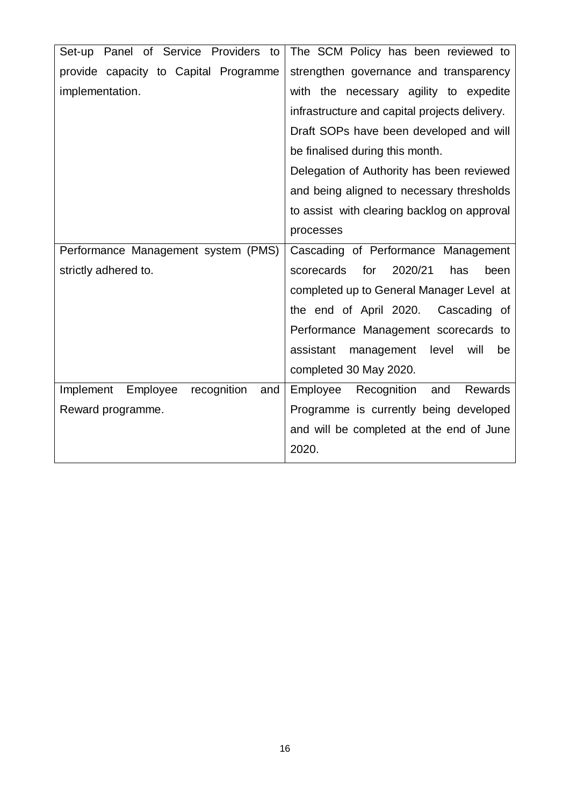| Set-up Panel of Service Providers to        | The SCM Policy has been reviewed to              |
|---------------------------------------------|--------------------------------------------------|
| provide capacity to Capital Programme       | strengthen governance and transparency           |
| implementation.                             | with the necessary agility to expedite           |
|                                             | infrastructure and capital projects delivery.    |
|                                             | Draft SOPs have been developed and will          |
|                                             | be finalised during this month.                  |
|                                             | Delegation of Authority has been reviewed        |
|                                             | and being aligned to necessary thresholds        |
|                                             | to assist with clearing backlog on approval      |
|                                             | processes                                        |
| Performance Management system (PMS)         | Cascading of Performance Management              |
| strictly adhered to.                        | for<br>2020/21<br>scorecards<br>has<br>been      |
|                                             | completed up to General Manager Level at         |
|                                             | the end of April 2020.<br>Cascading of           |
|                                             | Performance Management scorecards to             |
|                                             | assistant<br>will<br>management<br>level<br>be   |
|                                             | completed 30 May 2020.                           |
| recognition<br>Implement<br>Employee<br>and | Recognition<br><b>Rewards</b><br>Employee<br>and |
| Reward programme.                           | Programme is currently being developed           |
|                                             | and will be completed at the end of June         |
|                                             | 2020.                                            |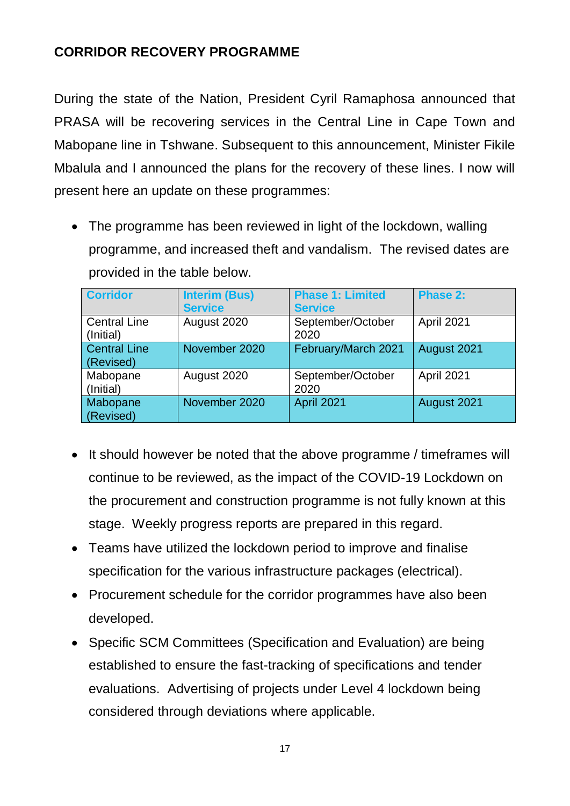# **CORRIDOR RECOVERY PROGRAMME**

During the state of the Nation, President Cyril Ramaphosa announced that PRASA will be recovering services in the Central Line in Cape Town and Mabopane line in Tshwane. Subsequent to this announcement, Minister Fikile Mbalula and I announced the plans for the recovery of these lines. I now will present here an update on these programmes:

• The programme has been reviewed in light of the lockdown, walling programme, and increased theft and vandalism. The revised dates are provided in the table below.

| <b>Corridor</b>                  | <b>Interim (Bus)</b><br><b>Service</b> | <b>Phase 1: Limited</b><br><b>Service</b> | Phase 2:    |
|----------------------------------|----------------------------------------|-------------------------------------------|-------------|
| <b>Central Line</b><br>(Initial) | August 2020                            | September/October<br>2020                 | April 2021  |
| <b>Central Line</b><br>(Revised) | November 2020                          | February/March 2021                       | August 2021 |
| Mabopane<br>(Initial)            | August 2020                            | September/October<br>2020                 | April 2021  |
| Mabopane<br>(Revised)            | November 2020                          | April 2021                                | August 2021 |

- It should however be noted that the above programme / timeframes will continue to be reviewed, as the impact of the COVID-19 Lockdown on the procurement and construction programme is not fully known at this stage. Weekly progress reports are prepared in this regard.
- Teams have utilized the lockdown period to improve and finalise specification for the various infrastructure packages (electrical).
- Procurement schedule for the corridor programmes have also been developed.
- Specific SCM Committees (Specification and Evaluation) are being established to ensure the fast-tracking of specifications and tender evaluations. Advertising of projects under Level 4 lockdown being considered through deviations where applicable.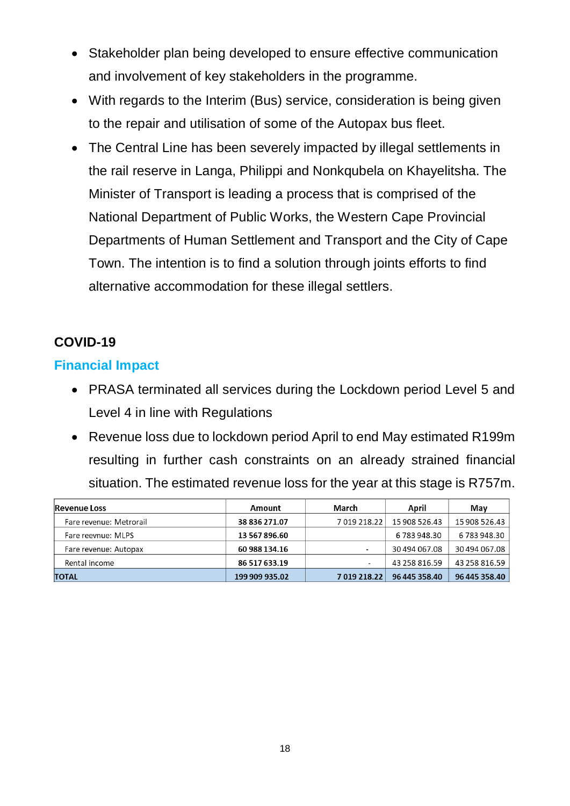- Stakeholder plan being developed to ensure effective communication and involvement of key stakeholders in the programme.
- With regards to the Interim (Bus) service, consideration is being given to the repair and utilisation of some of the Autopax bus fleet.
- The Central Line has been severely impacted by illegal settlements in the rail reserve in Langa, Philippi and Nonkqubela on Khayelitsha. The Minister of Transport is leading a process that is comprised of the National Department of Public Works, the Western Cape Provincial Departments of Human Settlement and Transport and the City of Cape Town. The intention is to find a solution through joints efforts to find alternative accommodation for these illegal settlers.

# **COVID-19**

### **Financial Impact**

- PRASA terminated all services during the Lockdown period Level 5 and Level 4 in line with Regulations
- Revenue loss due to lockdown period April to end May estimated R199m resulting in further cash constraints on an already strained financial situation. The estimated revenue loss for the year at this stage is R757m.

| <b>Revenue Loss</b>     | Amount         | March                    | April         | May           |
|-------------------------|----------------|--------------------------|---------------|---------------|
| Fare revenue: Metrorail | 38 836 271.07  | 7019218.22               | 15 908 526.43 | 15 908 526.43 |
| Fare reevnue: MLPS      | 13 567 896.60  |                          | 6 783 948.30  | 6783948.30    |
| Fare revenue: Autopax   | 60 988 134.16  | $\blacksquare$           | 30 494 067.08 | 30 494 067.08 |
| Rental income           | 86 517 633.19  | $\overline{\phantom{a}}$ | 43 258 816.59 | 43 258 816.59 |
| <b>TOTAL</b>            | 199 909 935.02 | 7019218.22               | 96 445 358.40 | 96 445 358.40 |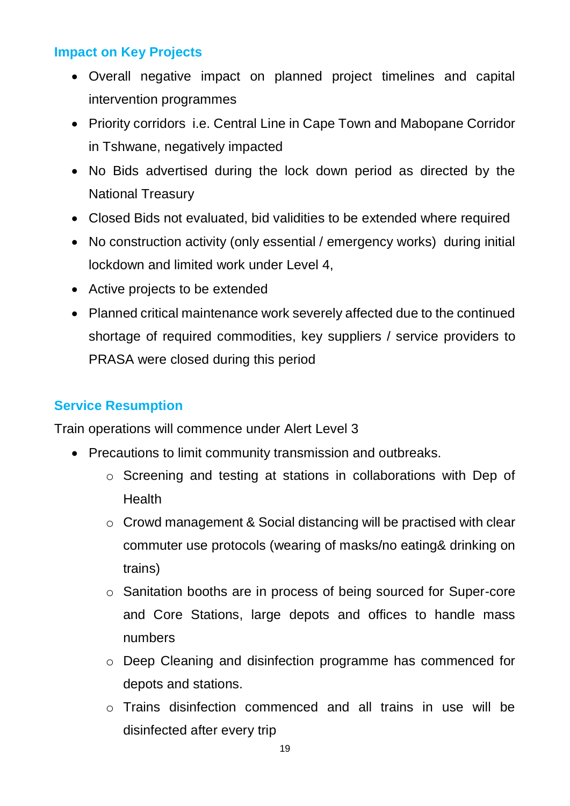## **Impact on Key Projects**

- Overall negative impact on planned project timelines and capital intervention programmes
- Priority corridors i.e. Central Line in Cape Town and Mabopane Corridor in Tshwane, negatively impacted
- No Bids advertised during the lock down period as directed by the National Treasury
- Closed Bids not evaluated, bid validities to be extended where required
- No construction activity (only essential / emergency works) during initial lockdown and limited work under Level 4,
- Active projects to be extended
- Planned critical maintenance work severely affected due to the continued shortage of required commodities, key suppliers / service providers to PRASA were closed during this period

# **Service Resumption**

Train operations will commence under Alert Level 3

- Precautions to limit community transmission and outbreaks.
	- o Screening and testing at stations in collaborations with Dep of **Health**
	- o Crowd management & Social distancing will be practised with clear commuter use protocols (wearing of masks/no eating& drinking on trains)
	- o Sanitation booths are in process of being sourced for Super-core and Core Stations, large depots and offices to handle mass numbers
	- o Deep Cleaning and disinfection programme has commenced for depots and stations.
	- o Trains disinfection commenced and all trains in use will be disinfected after every trip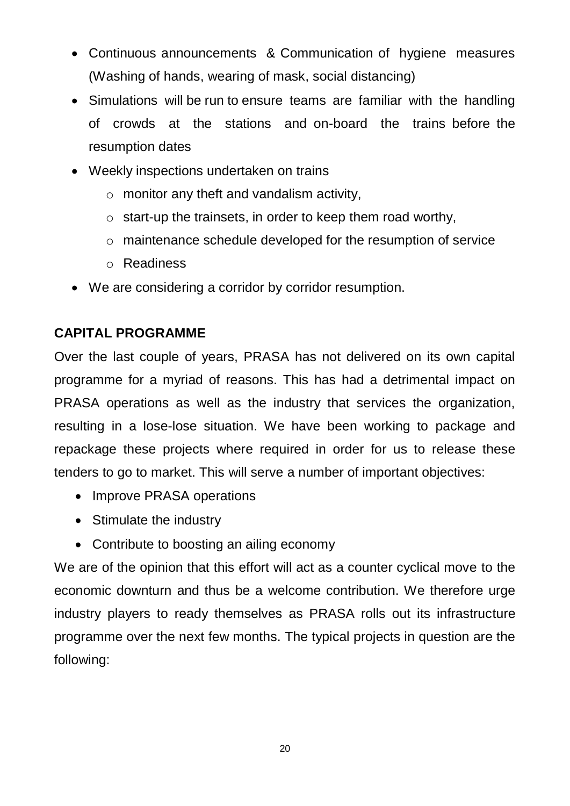- Continuous announcements & Communication of hygiene measures (Washing of hands, wearing of mask, social distancing)
- Simulations will be run to ensure teams are familiar with the handling of crowds at the stations and on-board the trains before the resumption dates
- Weekly inspections undertaken on trains
	- o monitor any theft and vandalism activity,
	- $\circ$  start-up the trainsets, in order to keep them road worthy,
	- o maintenance schedule developed for the resumption of service
	- o Readiness
- We are considering a corridor by corridor resumption.

# **CAPITAL PROGRAMME**

Over the last couple of years, PRASA has not delivered on its own capital programme for a myriad of reasons. This has had a detrimental impact on PRASA operations as well as the industry that services the organization, resulting in a lose-lose situation. We have been working to package and repackage these projects where required in order for us to release these tenders to go to market. This will serve a number of important objectives:

- Improve PRASA operations
- Stimulate the industry
- Contribute to boosting an ailing economy

We are of the opinion that this effort will act as a counter cyclical move to the economic downturn and thus be a welcome contribution. We therefore urge industry players to ready themselves as PRASA rolls out its infrastructure programme over the next few months. The typical projects in question are the following: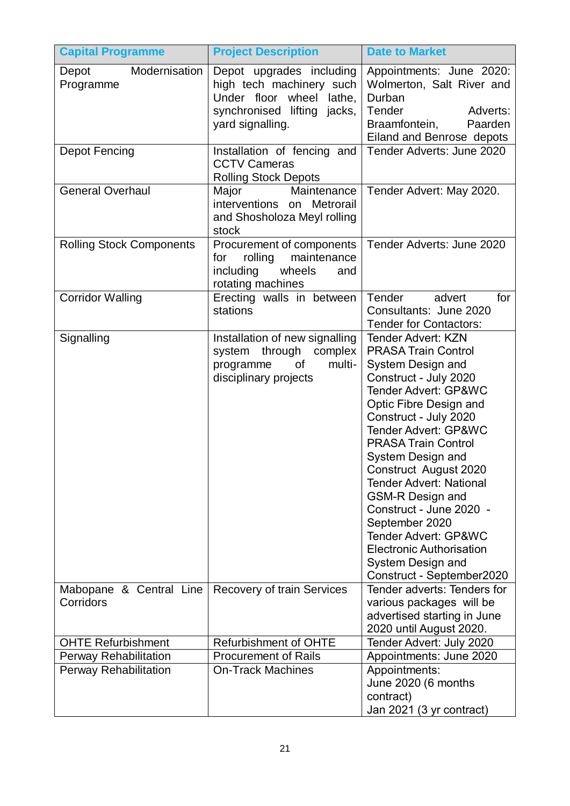| <b>Capital Programme</b>             | <b>Project Description</b>                                                                                                          | <b>Date to Market</b>                                                                                                                                                                                                                                                                                                                                                                                                                                                                                                                    |
|--------------------------------------|-------------------------------------------------------------------------------------------------------------------------------------|------------------------------------------------------------------------------------------------------------------------------------------------------------------------------------------------------------------------------------------------------------------------------------------------------------------------------------------------------------------------------------------------------------------------------------------------------------------------------------------------------------------------------------------|
| Modernisation<br>Depot<br>Programme  | Depot upgrades including<br>high tech machinery such<br>Under floor wheel lathe,<br>synchronised lifting jacks,<br>yard signalling. | Appointments: June 2020:<br>Wolmerton, Salt River and<br>Durban<br>Tender<br>Adverts:<br>Braamfontein,<br>Paarden<br>Eiland and Benrose depots                                                                                                                                                                                                                                                                                                                                                                                           |
| <b>Depot Fencing</b>                 | Installation of fencing and<br><b>CCTV Cameras</b><br><b>Rolling Stock Depots</b>                                                   | Tender Adverts: June 2020                                                                                                                                                                                                                                                                                                                                                                                                                                                                                                                |
| <b>General Overhaul</b>              | Major<br>Maintenance<br>interventions<br>Metrorail<br>on<br>and Shosholoza Meyl rolling<br>stock                                    | Tender Advert: May 2020.                                                                                                                                                                                                                                                                                                                                                                                                                                                                                                                 |
| <b>Rolling Stock Components</b>      | Procurement of components<br>rolling<br>maintenance<br>for<br>including<br>wheels<br>and<br>rotating machines                       | Tender Adverts: June 2020                                                                                                                                                                                                                                                                                                                                                                                                                                                                                                                |
| <b>Corridor Walling</b>              | Erecting walls in between<br>stations                                                                                               | Tender<br>advert<br>for<br>Consultants: June 2020<br><b>Tender for Contactors:</b>                                                                                                                                                                                                                                                                                                                                                                                                                                                       |
| Signalling                           | Installation of new signalling<br>system through complex<br>multi-<br>programme<br>of<br>disciplinary projects                      | <b>Tender Advert: KZN</b><br><b>PRASA Train Control</b><br>System Design and<br>Construct - July 2020<br>Tender Advert: GP&WC<br>Optic Fibre Design and<br>Construct - July 2020<br><b>Tender Advert: GP&amp;WC</b><br><b>PRASA Train Control</b><br>System Design and<br><b>Construct August 2020</b><br><b>Tender Advert: National</b><br><b>GSM-R Design and</b><br>Construct - June 2020 -<br>September 2020<br><b>Tender Advert: GP&amp;WC</b><br><b>Electronic Authorisation</b><br>System Design and<br>Construct - September2020 |
| Mabopane & Central Line<br>Corridors | <b>Recovery of train Services</b>                                                                                                   | Tender adverts: Tenders for<br>various packages will be<br>advertised starting in June<br>2020 until August 2020.                                                                                                                                                                                                                                                                                                                                                                                                                        |
| <b>OHTE Refurbishment</b>            | <b>Refurbishment of OHTE</b>                                                                                                        | Tender Advert: July 2020                                                                                                                                                                                                                                                                                                                                                                                                                                                                                                                 |
| <b>Perway Rehabilitation</b>         | <b>Procurement of Rails</b>                                                                                                         | Appointments: June 2020                                                                                                                                                                                                                                                                                                                                                                                                                                                                                                                  |
| <b>Perway Rehabilitation</b>         | <b>On-Track Machines</b>                                                                                                            | Appointments:<br>June 2020 (6 months<br>contract)<br>Jan 2021 (3 yr contract)                                                                                                                                                                                                                                                                                                                                                                                                                                                            |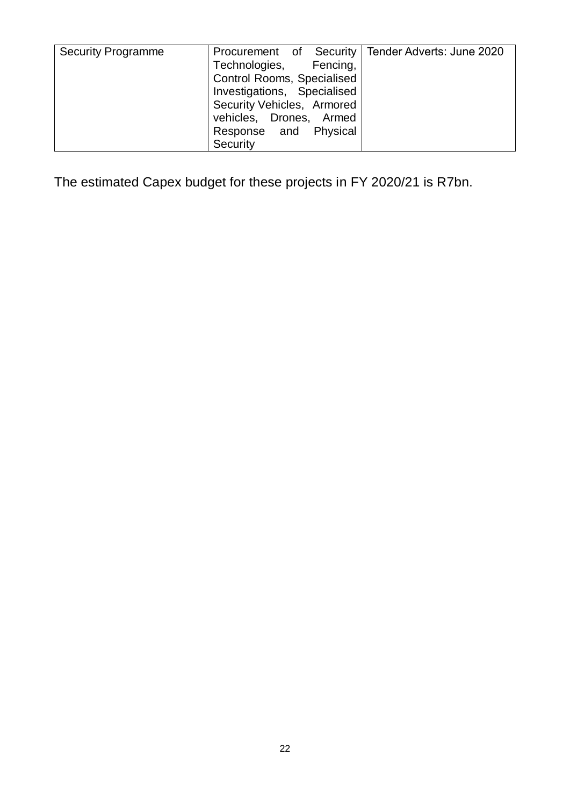| <b>Security Programme</b> | Procurement of Security   Tender Adverts: June 2020 |  |
|---------------------------|-----------------------------------------------------|--|
|                           | Technologies, Fencing,                              |  |
|                           | Control Rooms, Specialised                          |  |
|                           | Investigations, Specialised                         |  |
|                           | Security Vehicles, Armored                          |  |
|                           | vehicles, Drones, Armed                             |  |
|                           | Response and Physical                               |  |
|                           | Security                                            |  |

The estimated Capex budget for these projects in FY 2020/21 is R7bn.